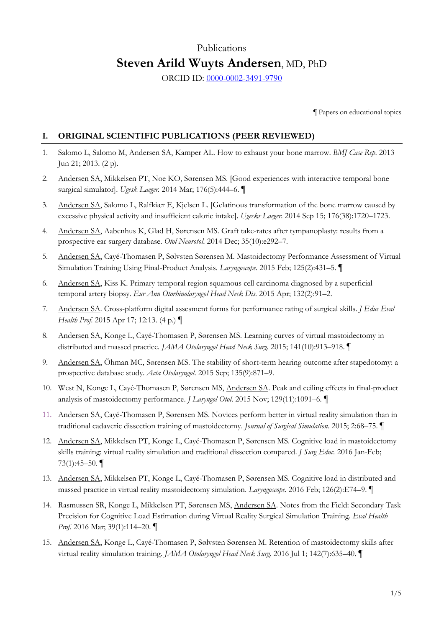# Publications **Steven Arild Wuyts Andersen**, MD, PhD

ORCID ID: [0000-0002-3491-9790](http://orcid.org/0000-0002-3491-9790)

¶ Papers on educational topics

#### **I. ORIGINAL SCIENTIFIC PUBLICATIONS (PEER REVIEWED)**

- 1. Salomo L, Salomo M, Andersen SA, Kamper AL. How to exhaust your bone marrow. *BMJ Case Rep*. 2013 Jun 21; 2013. (2 p).
- 2. Andersen SA, Mikkelsen PT, Noe KO, Sørensen MS. [Good experiences with interactive temporal bone surgical simulator]. *Ugesk Laeger.* 2014 Mar; 176(5):444–6. ¶
- 3. Andersen SA, Salomo L, Ralfkiær E, Kjelsen L. [Gelatinous transformation of the bone marrow caused by excessive physical activity and insufficient calorie intake]. *Ugeskr Laeger*. 2014 Sep 15; 176(38):1720–1723.
- 4. Andersen SA, Aabenhus K, Glad H, Sørensen MS. Graft take-rates after tympanoplasty: results from a prospective ear surgery database. *Otol Neurotol*. 2014 Dec; 35(10):e292–7.
- 5. Andersen SA, Cayé-Thomasen P, Sølvsten Sørensen M. Mastoidectomy Performance Assessment of Virtual Simulation Training Using Final-Product Analysis. *Laryngoscope*. 2015 Feb; 125(2):431–5. ¶
- 6. Andersen SA, Kiss K. Primary temporal region squamous cell carcinoma diagnosed by a superficial temporal artery biopsy. *Eur Ann Otorhinolaryngol Head Neck Dis*. 2015 Apr; 132(2):91–2.
- 7. Andersen SA. Cross-platform digital assesment forms for performance rating of surgical skills. *J Educ Eval Health Prof*. 2015 Apr 17; 12:13. (4 p.) ¶
- 8. Andersen SA, Konge L, Cayé-Thomasen P, Sørensen MS. Learning curves of virtual mastoidectomy in distributed and massed practice. *JAMA Otolaryngol Head Neck Surg*. 2015; 141(10):913–918. ¶
- 9. Andersen SA, Öhman MC, Sørensen MS. The stability of short-term hearing outcome after stapedotomy: a prospective database study. *Acta Otolaryngol*. 2015 Sep; 135(9):871–9.
- 10. West N, Konge L, Cayé-Thomasen P, Sørensen MS, Andersen SA. Peak and ceiling effects in final-product analysis of mastoidectomy performance. *J Laryngol Otol*. 2015 Nov; 129(11):1091–6*.* ¶
- 11. Andersen SA, Cayé-Thomasen P, Sørensen MS. Novices perform better in virtual reality simulation than in traditional cadaveric dissection training of mastoidectomy. *Journal of Surgical Simulation*. 2015; 2:68–75. ¶
- 12. Andersen SA, Mikkelsen PT, Konge L, Cayé-Thomasen P, Sørensen MS. Cognitive load in mastoidectomy skills training: virtual reality simulation and traditional dissection compared. *J Surg Educ.* 2016 Jan-Feb; 73 $(1):45-50.$
- 13. Andersen SA, Mikkelsen PT, Konge L, Cayé-Thomasen P, Sørensen MS. Cognitive load in distributed and massed practice in virtual reality mastoidectomy simulation. *Laryngoscope*. 2016 Feb; 126(2):E74–9. ¶
- 14. Rasmussen SR, Konge L, Mikkelsen PT, Sørensen MS, Andersen SA. Notes from the Field: Secondary Task Precision for Cognitive Load Estimation during Virtual Reality Surgical Simulation Training. *Eval Health Prof.* 2016 Mar; 39(1):114–20. ¶
- 15. Andersen SA, Konge L, Cayé-Thomasen P, Sølvsten Sørensen M. Retention of mastoidectomy skills after virtual reality simulation training. *JAMA Otolaryngol Head Neck Surg*. 2016 Jul 1; 142(7):635–40. ¶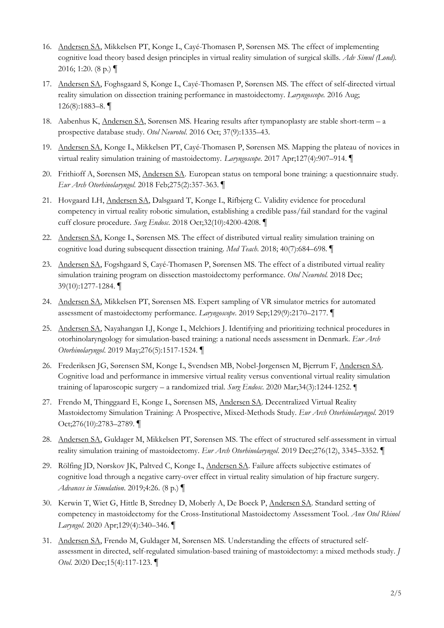- 16. Andersen SA, Mikkelsen PT, Konge L, Cayé-Thomasen P, Sørensen MS. The effect of implementing cognitive load theory based design principles in virtual reality simulation of surgical skills. *Adv Simul (Lond).* 2016; 1:20. (8 p.)  $\P$
- 17. Andersen SA, Foghsgaard S, Konge L, Cayé-Thomasen P, Sørensen MS. The effect of self-directed virtual reality simulation on dissection training performance in mastoidectomy. *Laryngoscope.* 2016 Aug; 126(8):1883–8. ¶
- 18. Aabenhus K, Andersen SA, Sørensen MS. Hearing results after tympanoplasty are stable short-term a prospective database study. *Otol Neurotol*. 2016 Oct; 37(9):1335–43.
- 19. Andersen SA, Konge L, Mikkelsen PT, Cayé-Thomasen P, Sørensen MS. Mapping the plateau of novices in virtual reality simulation training of mastoidectomy. *Laryngoscope*. 2017 Apr;127(4):907–914. ¶
- 20. Frithioff A, Sørensen MS, Andersen SA. European status on temporal bone training: a questionnaire study. *Eur Arch Otorhinolaryngol*. 2018 Feb;275(2):357-363. ¶
- 21. Hovgaard LH, Andersen SA, Dalsgaard T, Konge L, Rifbjerg C. Validity evidence for procedural competency in virtual reality robotic simulation, establishing a credible pass/fail standard for the vaginal cuff closure procedure. *Surg Endosc*. 2018 Oct;32(10):4200-4208. ¶
- 22. Andersen SA, Konge L, Sørensen MS. The effect of distributed virtual reality simulation training on cognitive load during subsequent dissection training. *Med Teach*. 2018; 40(7):684–698. ¶
- 23. Andersen SA, Fogshgaard S, Cayé-Thomasen P, Sørensen MS. The effect of a distributed virtual reality simulation training program on dissection mastoidectomy performance. *Otol Neurotol.* 2018 Dec; 39(10):1277-1284. ¶
- 24. Andersen SA, Mikkelsen PT, Sørensen MS. Expert sampling of VR simulator metrics for automated assessment of mastoidectomy performance. *Laryngoscope*. 2019 Sep;129(9):2170–2177. ¶
- 25. Andersen SA, Nayahangan LJ, Konge L, Melchiors J. Identifying and prioritizing technical procedures in otorhinolaryngology for simulation-based training: a national needs assessment in Denmark. *Eur Arch Otorhinolaryngol*. 2019 May;276(5):1517-1524. ¶
- 26. Frederiksen JG, Sørensen SM, Konge L, Svendsen MB, Nobel-Jørgensen M, Bjerrum F, Andersen SA. Cognitive load and performance in immersive virtual reality versus conventional virtual reality simulation training of laparoscopic surgery – a randomized trial. *Surg Endosc*. 2020 Mar;34(3):1244-1252. ¶
- 27. Frendø M, Thinggaard E, Konge L, Sørensen MS, Andersen SA. Decentralized Virtual Reality Mastoidectomy Simulation Training: A Prospective, Mixed-Methods Study. *Eur Arch Otorhinolaryngol*. 2019 Oct;276(10):2783–2789. ¶
- 28. Andersen SA, Guldager M, Mikkelsen PT, Sørensen MS. The effect of structured self-assessment in virtual reality simulation training of mastoidectomy. *Eur Arch Otorhinolaryngol*. 2019 Dec;276(12), 3345–3352. ¶
- 29. Rölfing JD, Nørskov JK, Paltved C, Konge L, Andersen SA. Failure affects subjective estimates of cognitive load through a negative carry-over effect in virtual reality simulation of hip fracture surgery. *Advances in Simulation*. 2019;4:26. (8 p.) ¶
- 30. Kerwin T, Wiet G, Hittle B, Stredney D, Moberly A, De Boeck P, Andersen SA. Standard setting of competency in mastoidectomy for the Cross-Institutional Mastoidectomy Assessment Tool. *Ann Otol Rhinol Laryngol*. 2020 Apr;129(4):340–346. ¶
- 31. Andersen SA, Frendø M, Guldager M, Sørensen MS. Understanding the effects of structured selfassessment in directed, self-regulated simulation-based training of mastoidectomy: a mixed methods study. *J Otol*. 2020 Dec;15(4):117-123. ¶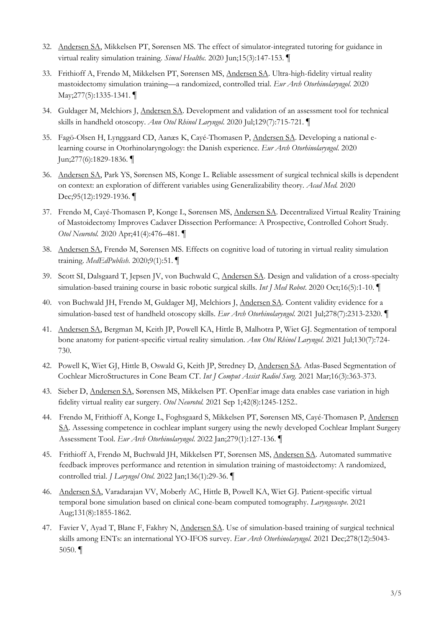- 32. Andersen SA, Mikkelsen PT, Sørensen MS. The effect of simulator-integrated tutoring for guidance in virtual reality simulation training. *Simul Healthc.* 2020 Jun;15(3):147-153. ¶
- 33. Frithioff A, Frendø M, Mikkelsen PT, Sørensen MS, Andersen SA. Ultra-high-fidelity virtual reality mastoidectomy simulation training—a randomized, controlled trial. *Eur Arch Otorhinolaryngol*. 2020 May;277(5):1335-1341. ¶
- 34. Guldager M, Melchiors J, Andersen SA. Development and validation of an assessment tool for technical skills in handheld otoscopy. *Ann Otol Rhinol Laryngol*. 2020 Jul;129(7):715-721. ¶
- 35. Fagö-Olsen H, Lynggaard CD, Aanæs K, Cayé-Thomasen P, Andersen SA. Developing a national elearning course in Otorhinolaryngology: the Danish experience. *Eur Arch Otorhinolaryngol*. 2020 Jun;277(6):1829-1836. ¶
- 36. Andersen SA, Park YS, Sørensen MS, Konge L. Reliable assessment of surgical technical skills is dependent on context: an exploration of different variables using Generalizability theory. *Acad Med.* 2020 Dec;95(12):1929-1936. ¶
- 37. Frendø M, Cayé-Thomasen P, Konge L, Sørensen MS, Andersen SA. Decentralized Virtual Reality Training of Mastoidectomy Improves Cadaver Dissection Performance: A Prospective, Controlled Cohort Study. *Otol Neurotol.* 2020 Apr;41(4):476–481. ¶
- 38. Andersen SA, Frendø M, Sørensen MS. Effects on cognitive load of tutoring in virtual reality simulation training. *MedEdPublish*. 2020;9(1):51. ¶
- 39. Scott SI, Dalsgaard T, Jepsen JV, von Buchwald C, Andersen SA. Design and validation of a cross-specialty simulation-based training course in basic robotic surgical skills. *Int J Med Robot*. 2020 Oct;16(5):1-10. ¶
- 40. von Buchwald JH, Frendø M, Guldager MJ, Melchiors J, Andersen SA. Content validity evidence for a simulation-based test of handheld otoscopy skills. *Eur Arch Otorhinolaryngol*. 2021 Jul;278(7):2313-2320. ¶
- 41. Andersen SA, Bergman M, Keith JP, Powell KA, Hittle B, Malhotra P, Wiet GJ. Segmentation of temporal bone anatomy for patient-specific virtual reality simulation. *Ann Otol Rhinol Laryngol*. 2021 Jul;130(7):724- 730.
- 42. Powell K, Wiet GJ, Hittle B, Oswald G, Keith JP, Stredney D, Andersen SA. Atlas-Based Segmentation of Cochlear MicroStructures in Cone Beam CT. *Int J Comput Assist Radiol Surg.* 2021 Mar;16(3):363-373.
- 43. Sieber D, Andersen SA, Sørensen MS, Mikkelsen PT. OpenEar image data enables case variation in high fidelity virtual reality ear surgery. *Otol Neurotol.* 2021 Sep 1;42(8):1245-1252..
- 44. Frendø M, Frithioff A, Konge L, Foghsgaard S, Mikkelsen PT, Sørensen MS, Cayé-Thomasen P, Andersen SA. Assessing competence in cochlear implant surgery using the newly developed Cochlear Implant Surgery Assessment Tool. *Eur Arch Otorhinolaryngol*. 2022 Jan;279(1):127-136. ¶
- 45. Frithioff A, Frendø M, Buchwald JH, Mikkelsen PT, Sørensen MS, Andersen SA. Automated summative feedback improves performance and retention in simulation training of mastoidectomy: A randomized, controlled trial. *J Laryngol Otol*. 2022 Jan;136(1):29-36. ¶
- 46. Andersen SA, Varadarajan VV, Moberly AC, Hittle B, Powell KA, Wiet GJ. Patient-specific virtual temporal bone simulation based on clinical cone-beam computed tomography. *Laryngoscope*. 2021 Aug;131(8):1855-1862.
- 47. Favier V, Ayad T, Blanc F, Fakhry N, Andersen SA. Use of simulation-based training of surgical technical skills among ENTs: an international YO-IFOS survey. *Eur Arch Otorhinolaryngol*. 2021 Dec;278(12):5043- 5050. ¶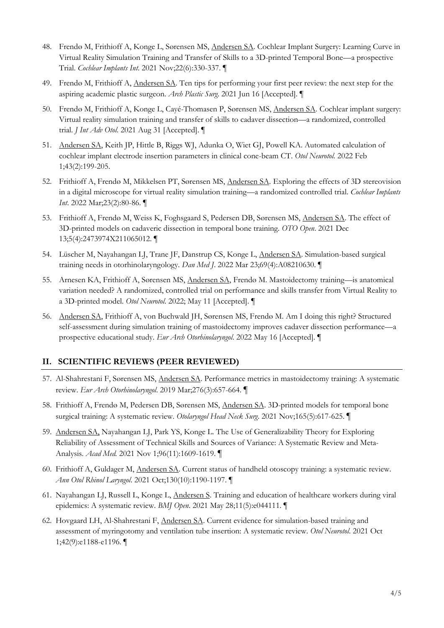- 48. Frendø M, Frithioff A, Konge L, Sørensen MS, Andersen SA. Cochlear Implant Surgery: Learning Curve in Virtual Reality Simulation Training and Transfer of Skills to a 3D-printed Temporal Bone—a prospective Trial. *Cochlear Implants Int*. 2021 Nov;22(6):330-337. ¶
- 49. Frendø M, Frithioff A, Andersen SA. Ten tips for performing your first peer review: the next step for the aspiring academic plastic surgeon. *Arch Plastic Surg*. 2021 Jun 16 [Accepted]. ¶
- 50. Frendø M, Frithioff A, Konge L, Cayé-Thomasen P, Sørensen MS, Andersen SA. Cochlear implant surgery: Virtual reality simulation training and transfer of skills to cadaver dissection—a randomized, controlled trial. *J Int Adv Otol*. 2021 Aug 31 [Accepted]. ¶
- 51. Andersen SA, Keith JP, Hittle B, Riggs WJ, Adunka O, Wiet GJ, Powell KA. Automated calculation of cochlear implant electrode insertion parameters in clinical cone-beam CT. *Otol Neurotol.* 2022 Feb 1;43(2):199-205.
- 52. Frithioff A, Frendø M, Mikkelsen PT, Sørensen MS, Andersen SA. Exploring the effects of 3D stereovision in a digital microscope for virtual reality simulation training—a randomized controlled trial. *Cochlear Implants Int*. 2022 Mar;23(2):80-86. ¶
- 53. Frithioff A, Frendø M, Weiss K, Foghsgaard S, Pedersen DB, Sørensen MS, Andersen SA. The effect of 3D-printed models on cadaveric dissection in temporal bone training. *OTO Open*. 2021 Dec 13;5(4):2473974X211065012. ¶
- 54. Lüscher M, Nayahangan LJ, Trane JF, Danstrup CS, Konge L, Andersen SA. Simulation-based surgical training needs in otorhinolaryngology. *Dan Med J*. 2022 Mar 23;69(4):A08210630. ¶
- 55. Arnesen KA, Frithioff A, Sørensen MS, Andersen SA, Frendø M. Mastoidectomy training—is anatomical variation needed? A randomized, controlled trial on performance and skills transfer from Virtual Reality to a 3D-printed model. *Otol Neurotol*. 2022; May 11 [Accepted]. ¶
- 56. Andersen SA, Frithioff A, von Buchwald JH, Sørensen MS, Frendø M. Am I doing this right? Structured self-assessment during simulation training of mastoidectomy improves cadaver dissection performance—a prospective educational study. *Eur Arch Otorhinolaryngol*. 2022 May 16 [Accepted]. ¶

#### **II. SCIENTIFIC REVIEWS (PEER REVIEWED)**

- 57. Al-Shahrestani F, Sørensen MS, Andersen SA. Performance metrics in mastoidectomy training: A systematic review. *Eur Arch Otorhinolaryngol*. 2019 Mar;276(3):657-664. ¶
- 58. Frithioff A, Frendø M, Pedersen DB, Sørensen MS, Andersen SA. 3D-printed models for temporal bone surgical training: A systematic review. *Otolaryngol Head Neck Surg*. 2021 Nov;165(5):617-625. ¶
- 59. Andersen SA, Nayahangan LJ, Park YS, Konge L. The Use of Generalizability Theory for Exploring Reliability of Assessment of Technical Skills and Sources of Variance: A Systematic Review and Meta-Analysis. *Acad Med.* 2021 Nov 1;96(11):1609-1619. ¶
- 60. Frithioff A, Guldager M, Andersen SA. Current status of handheld otoscopy training: a systematic review. *Ann Otol Rhinol Laryngol*. 2021 Oct;130(10):1190-1197. ¶
- 61. Nayahangan LJ, Russell L, Konge L, Andersen S. Training and education of healthcare workers during viral epidemics: A systematic review. *BMJ Open*. 2021 May 28;11(5):e044111. ¶
- 62. Hovgaard LH, Al-Shahrestani F, Andersen SA. Current evidence for simulation-based training and assessment of myringotomy and ventilation tube insertion: A systematic review. *Otol Neurotol*. 2021 Oct 1;42(9):e1188-e1196. ¶